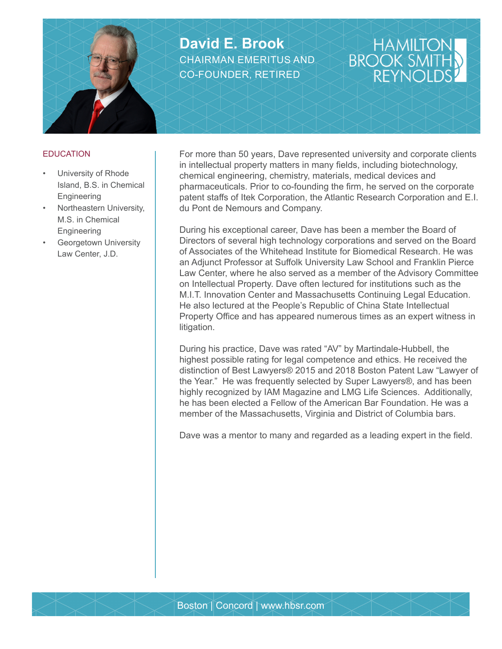

**David E. Brook** CHAIRMAN EMERITUS AND CO-FOUNDER, RETIRED

## HAMILT<sup>(</sup><br>BROOK SM **RFYN**

## **EDUCATION**

- University of Rhode Island, B.S. in Chemical Engineering
- Northeastern University, M.S. in Chemical **Engineering**
- Georgetown University Law Center, J.D.

For more than 50 years, Dave represented university and corporate clients in intellectual property matters in many fields, including biotechnology, chemical engineering, chemistry, materials, medical devices and pharmaceuticals. Prior to co-founding the firm, he served on the corporate patent staffs of Itek Corporation, the Atlantic Research Corporation and E.I. du Pont de Nemours and Company.

During his exceptional career, Dave has been a member the Board of Directors of several high technology corporations and served on the Board of Associates of the Whitehead Institute for Biomedical Research. He was an Adjunct Professor at Suffolk University Law School and Franklin Pierce Law Center, where he also served as a member of the Advisory Committee on Intellectual Property. Dave often lectured for institutions such as the M.I.T. Innovation Center and Massachusetts Continuing Legal Education. He also lectured at the People's Republic of China State Intellectual Property Office and has appeared numerous times as an expert witness in litigation.

During his practice, Dave was rated "AV" by Martindale-Hubbell, the highest possible rating for legal competence and ethics. He received the distinction of Best Lawyers® 2015 and 2018 Boston Patent Law "Lawyer of the Year." He was frequently selected by Super Lawyers®, and has been highly recognized by IAM Magazine and LMG Life Sciences. Additionally, he has been elected a Fellow of the American Bar Foundation. He was a member of the Massachusetts, Virginia and District of Columbia bars.

Dave was a mentor to many and regarded as a leading expert in the field.